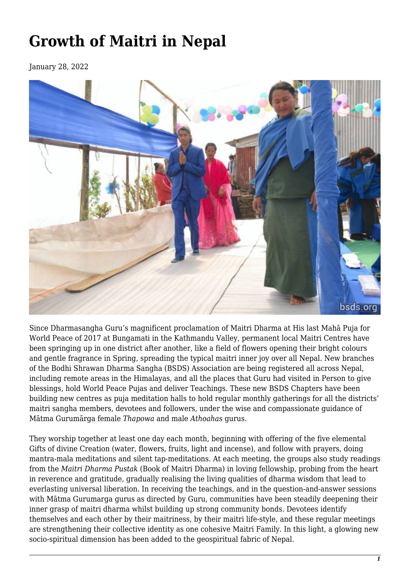## **Growth of Maitri in Nepal**

January 28, 2022



Since Dharmasangha Guru's magnificent proclamation of Maitri Dharma at His last Mahā Puja for World Peace of 2017 at Bungamati in the Kathmandu Valley, permanent local Maitri Centres have been springing up in one district after another, like a field of flowers opening their bright colours and gentle fragrance in Spring, spreading the typical maitri inner joy over all Nepal. New branches of the Bodhi Shrawan Dharma Sangha (BSDS) Association are being registered all across Nepal, including remote areas in the Himalayas, and all the places that Guru had visited in Person to give blessings, hold World Peace Pujas and deliver Teachings. These new BSDS Chapters have been building new centres as puja meditation halls to hold regular monthly gatherings for all the districts' maitri sangha members, devotees and followers, under the wise and compassionate guidance of Mātma Gurumārga female *Thapowa* and male *Athoahas* gurus.

They worship together at least one day each month, beginning with offering of the five elemental Gifts of divine Creation (water, flowers, fruits, light and incense), and follow with prayers, doing mantra-mala meditations and silent tap-meditations. At each meeting, the groups also study readings from the *Maitri Dharma Pustak* (Book of Maitri Dharma) in loving fellowship, probing from the heart in reverence and gratitude, gradually realising the living qualities of dharma wisdom that lead to everlasting universal liberation. In receiving the teachings, and in the question-and-answer sessions with Mātma Gurumarga gurus as directed by Guru, communities have been steadily deepening their inner grasp of maitri dharma whilst building up strong community bonds. Devotees identify themselves and each other by their maitriness, by their maitri life-style, and these regular meetings are strengthening their collective identity as one cohesive Maitri Family. In this light, a glowing new socio-spiritual dimension has been added to the geospiritual fabric of Nepal.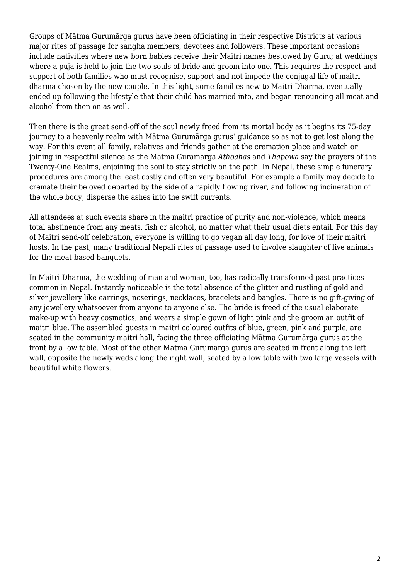Groups of Mātma Gurumārga gurus have been officiating in their respective Districts at various major rites of passage for sangha members, devotees and followers. These important occasions include nativities where new born babies receive their Maitri names bestowed by Guru; at weddings where a puja is held to join the two souls of bride and groom into one. This requires the respect and support of both families who must recognise, support and not impede the conjugal life of maitri dharma chosen by the new couple. In this light, some families new to Maitri Dharma, eventually ended up following the lifestyle that their child has married into, and began renouncing all meat and alcohol from then on as well.

Then there is the great send-off of the soul newly freed from its mortal body as it begins its 75-day journey to a heavenly realm with Mātma Gurumārga gurus' guidance so as not to get lost along the way. For this event all family, relatives and friends gather at the cremation place and watch or joining in respectful silence as the Mātma Guramārga *Athoahas* and *Thapowa* say the prayers of the Twenty-One Realms, enjoining the soul to stay strictly on the path. In Nepal, these simple funerary procedures are among the least costly and often very beautiful. For example a family may decide to cremate their beloved departed by the side of a rapidly flowing river, and following incineration of the whole body, disperse the ashes into the swift currents.

All attendees at such events share in the maitri practice of purity and non-violence, which means total abstinence from any meats, fish or alcohol, no matter what their usual diets entail. For this day of Maitri send-off celebration, everyone is willing to go vegan all day long, for love of their maitri hosts. In the past, many traditional Nepali rites of passage used to involve slaughter of live animals for the meat-based banquets.

In Maitri Dharma, the wedding of man and woman, too, has radically transformed past practices common in Nepal. Instantly noticeable is the total absence of the glitter and rustling of gold and silver jewellery like earrings, noserings, necklaces, bracelets and bangles. There is no gift-giving of any jewellery whatsoever from anyone to anyone else. The bride is freed of the usual elaborate make-up with heavy cosmetics, and wears a simple gown of light pink and the groom an outfit of maitri blue. The assembled guests in maitri coloured outfits of blue, green, pink and purple, are seated in the community maitri hall, facing the three officiating Mātma Gurumārga gurus at the front by a low table. Most of the other Mātma Gurumārga gurus are seated in front along the left wall, opposite the newly weds along the right wall, seated by a low table with two large vessels with beautiful white flowers.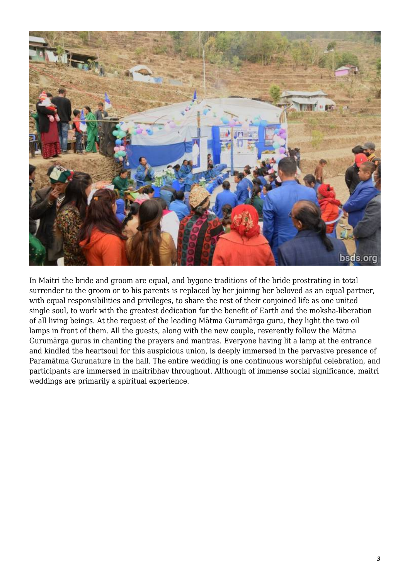

In Maitri the bride and groom are equal, and bygone traditions of the bride prostrating in total surrender to the groom or to his parents is replaced by her joining her beloved as an equal partner, with equal responsibilities and privileges, to share the rest of their conjoined life as one united single soul, to work with the greatest dedication for the benefit of Earth and the moksha-liberation of all living beings. At the request of the leading Mātma Gurumārga guru, they light the two oil lamps in front of them. All the guests, along with the new couple, reverently follow the Mātma Gurumārga gurus in chanting the prayers and mantras. Everyone having lit a lamp at the entrance and kindled the heartsoul for this auspicious union, is deeply immersed in the pervasive presence of Paramātma Gurunature in the hall. The entire wedding is one continuous worshipful celebration, and participants are immersed in maitribhav throughout. Although of immense social significance, maitri weddings are primarily a spiritual experience.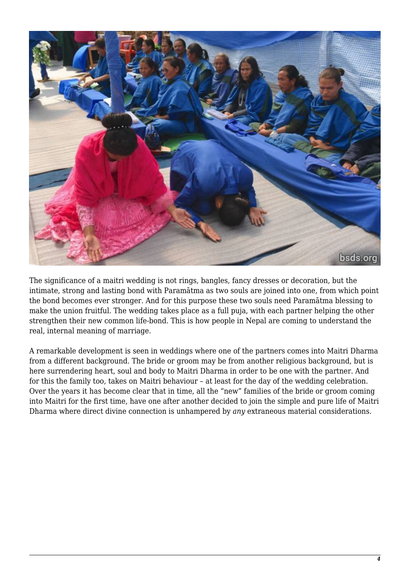

The significance of a maitri wedding is not rings, bangles, fancy dresses or decoration, but the intimate, strong and lasting bond with Paramātma as two souls are joined into one, from which point the bond becomes ever stronger. And for this purpose these two souls need Paramātma blessing to make the union fruitful. The wedding takes place as a full puja, with each partner helping the other strengthen their new common life-bond. This is how people in Nepal are coming to understand the real, internal meaning of marriage.

A remarkable development is seen in weddings where one of the partners comes into Maitri Dharma from a different background. The bride or groom may be from another religious background, but is here surrendering heart, soul and body to Maitri Dharma in order to be one with the partner. And for this the family too, takes on Maitri behaviour – at least for the day of the wedding celebration. Over the years it has become clear that in time, all the "new" families of the bride or groom coming into Maitri for the first time, have one after another decided to join the simple and pure life of Maitri Dharma where direct divine connection is unhampered by *any* extraneous material considerations.